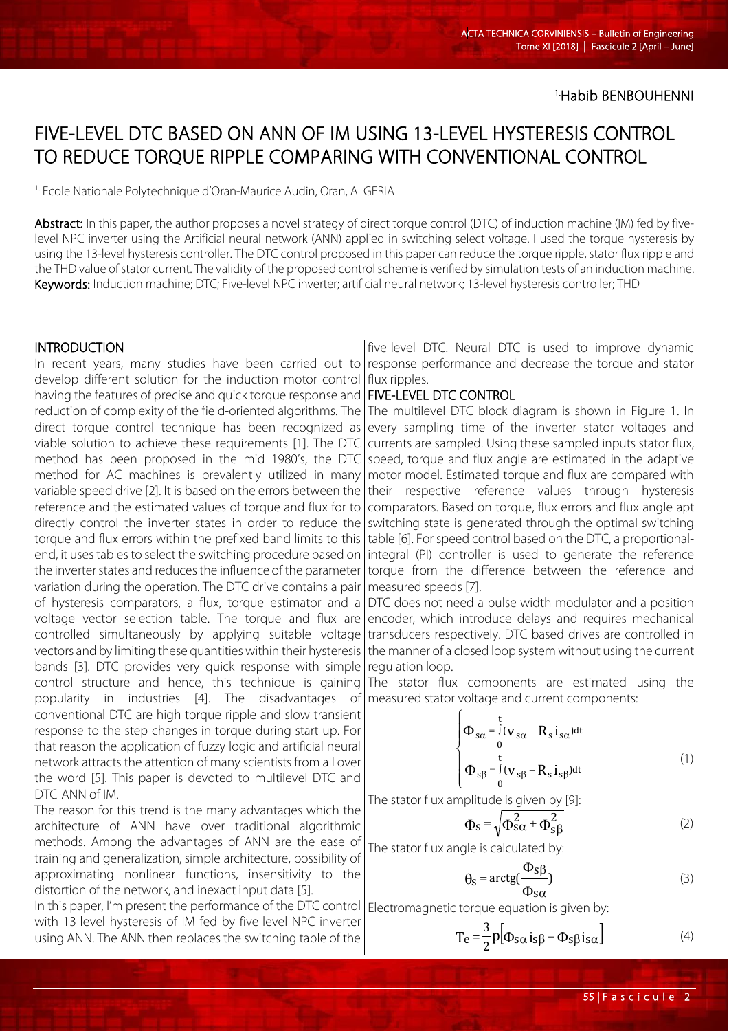1.Habib BENBOUHENNI

# FIVE-LEVEL DTC BASED ON ANN OF IM USING 13-LEVEL HYSTERESIS CONTROL TO REDUCE TORQUE RIPPLE COMPARING WITH CONVENTIONAL CONTROL

<sup>1.</sup> Ecole Nationale Polytechnique d'Oran-Maurice Audin, Oran, ALGERIA

Abstract: In this paper, the author proposes a novel strategy of direct torque control (DTC) of induction machine (IM) fed by fivelevel NPC inverter using the Artificial neural network (ANN) applied in switching select voltage. I used the torque hysteresis by using the 13-level hysteresis controller. The DTC control proposed in this paper can reduce the torque ripple, stator flux ripple and the THD value of stator current. The validity of the proposed control scheme is verified by simulation tests of an induction machine. Keywords: Induction machine; DTC; Five-level NPC inverter; artificial neural network; 13-level hysteresis controller; THD

#### INTRODUCTION

In recent years, many studies have been carried out to develop different solution for the induction motor control having the features of precise and quick torque response and reduction of complexity of the field-oriented algorithms. The direct torque control technique has been recognized as viable solution to achieve these requirements [1]. The DTC method has been proposed in the mid 1980's, the DTC method for AC machines is prevalently utilized in many variable speed drive [2]. It is based on the errors between the reference and the estimated values of torque and flux for to directly control the inverter states in order to reduce the torque and flux errors within the prefixed band limits to this end, it uses tables to select the switching procedure based on the inverter states and reduces the influence of the parameter variation during the operation. The DTC drive contains a pair of hysteresis comparators, a flux, torque estimator and a voltage vector selection table. The torque and flux are controlled simultaneously by applying suitable voltage vectors and by limiting these quantities within their hysteresis bands [3]. DTC provides very quick response with simple control structure and hence, this technique is gaining popularity in industries [4]. The disadvantages of conventional DTC are high torque ripple and slow transient response to the step changes in torque during start-up. For that reason the application of fuzzy logic and artificial neural network attracts the attention of many scientists from all over the word [5]. This paper is devoted to multilevel DTC and DTC-ANN of IM.

The reason for this trend is the many advantages which the architecture of ANN have over traditional algorithmic methods. Among the advantages of ANN are the ease of training and generalization, simple architecture, possibility of approximating nonlinear functions, insensitivity to the distortion of the network, and inexact input data [5].

In this paper, I'm present the performance of the DTC control with 13-level hysteresis of IM fed by five-level NPC inverter using ANN. The ANN then replaces the switching table of the

five-level DTC. Neural DTC is used to improve dynamic response performance and decrease the torque and stator flux ripples.

## FIVE-LEVEL DTC CONTROL

The multilevel DTC block diagram is shown in Figure 1. In every sampling time of the inverter stator voltages and currents are sampled. Using these sampled inputs stator flux, speed, torque and flux angle are estimated in the adaptive motor model. Estimated torque and flux are compared with their respective reference values through hysteresis comparators. Based on torque, flux errors and flux angle apt switching state is generated through the optimal switching table [6]. For speed control based on the DTC, a proportionalintegral (PI) controller is used to generate the reference torque from the difference between the reference and measured speeds [7].

DTC does not need a pulse width modulator and a position encoder, which introduce delays and requires mechanical transducers respectively. DTC based drives are controlled in the manner of a closed loop system without using the current regulation loop.

The stator flux components are estimated using the measured stator voltage and current components:

$$
\begin{cases}\n\Phi_{s\alpha} = \int_{0}^{t} (v_{s\alpha} - R_s i_{s\alpha}) dt \\
\frac{t}{\alpha} \\
\Phi_{s\beta} = \int_{0}^{t} (v_{s\beta} - R_s i_{s\beta}) dt\n\end{cases}
$$
\n(1)

The stator flux amplitude is given by [9]:

$$
\Phi_{\rm S} = \sqrt{\Phi_{\rm S\alpha}^2 + \Phi_{\rm S\beta}^2}
$$
 (2)

The stator flux angle is calculated by:

 $\epsilon$ 

$$
\theta_{\rm S} = \arctg(\frac{\Phi_{\rm S}\beta}{\Phi_{\rm S}\alpha})\tag{3}
$$

Electromagnetic torque equation is given by:

$$
T_e = \frac{3}{2} p \Big[ \Phi_{s\alpha} i_{s\beta} - \Phi_{s\beta} i_{s\alpha} \Big]
$$
 (4)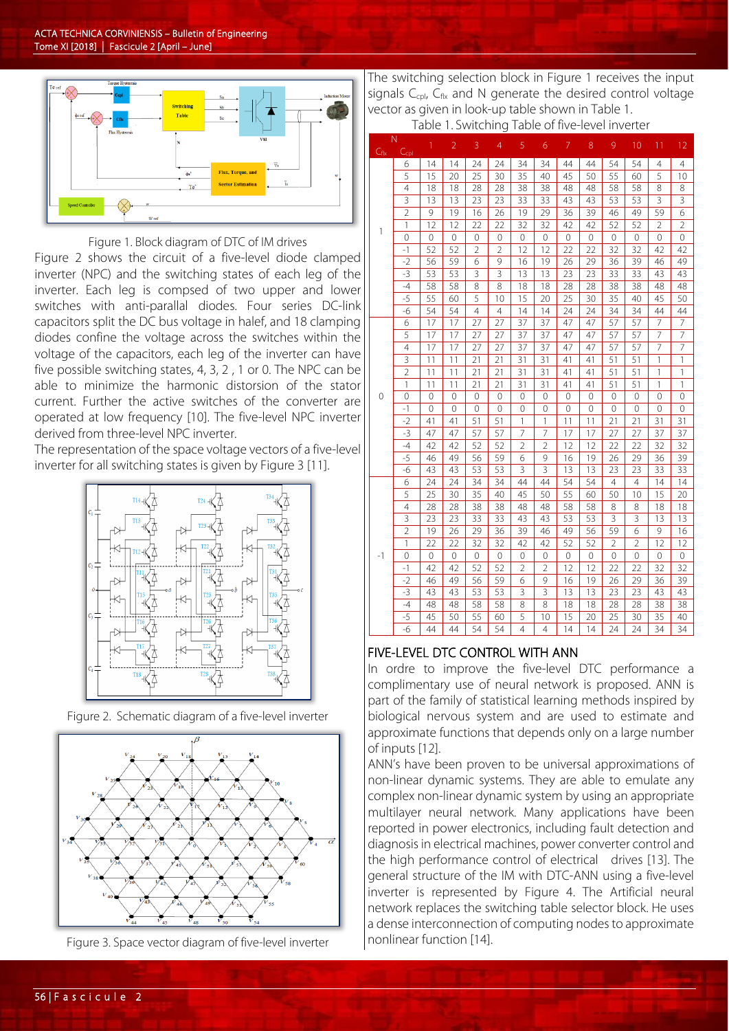

Figure 1. Block diagram of DTC of IM drives

Figure 2 shows the circuit of a five-level diode clamped inverter (NPC) and the switching states of each leg of the inverter. Each leg is compsed of two upper and lower switches with anti-parallal diodes. Four series DC-link capacitors split the DC bus voltage in halef, and 18 clamping diodes confine the voltage across the switches within the voltage of the capacitors, each leg of the inverter can have five possible switching states, 4, 3, 2 , 1 or 0. The NPC can be able to minimize the harmonic distorsion of the stator current. Further the active switches of the converter are operated at low frequency [10]. The five-level NPC inverter derived from three-level NPC inverter.

The representation of the space voltage vectors of a five-level inverter for all switching states is given by Figure 3 [11].



Figure 2. Schematic diagram of a five-level inverter



Figure 3. Space vector diagram of five-level inverter

The switching selection block in Figure 1 receives the input signals  $C_{\text{cpl}}$ ,  $C_{\text{flx}}$  and N generate the desired control voltage vector as given in look-up table shown in Table 1. Table 1. Switching Table of five-level inverter

|                   |                       | <b>LANIC</b>   |                | 1. JWILLIII 14 |                 | <b>LANIC</b>   |                | $\mathsf{H} \mathsf{V}$ | י<br>v         |                | <u>ULTITULI</u> |                |                 |
|-------------------|-----------------------|----------------|----------------|----------------|-----------------|----------------|----------------|-------------------------|----------------|----------------|-----------------|----------------|-----------------|
| $C_{\text{flux}}$ | N<br>C <sub>cpl</sub> | $\overline{1}$ | $\overline{2}$ | 3              | 4               | 5              | 6              | 7                       | 8              | 9              | 10              | 11             | 12              |
| 1                 | 6                     | 14             | 14             | 24             | 24              | 34             | 34             | 44                      | 44             | 54             | 54              | 4              | $\overline{4}$  |
|                   | $\overline{5}$        | 15             | 20             | 25             | 30              | 35             | 40             | 45                      | 50             | 55             | 60              | 5              | 10              |
|                   | $\overline{4}$        | 18             | 18             | 28             | 28              | 38             | 38             | 48                      | 48             | 58             | 58              | 8              | 8               |
|                   | 3                     | 13             | 13             | 23             | 23              | 33             | 33             | 43                      | 43             | 53             | 53              | 3              | 3               |
|                   | $\overline{2}$        | 9              | 19             | 16             | 26              | 19             | 29             | 36                      | 39             | 46             | 49              | 59             | 6               |
|                   | 1                     | 12             | 12             | 22             | 22              | 32             | 32             | 42                      | 42             | 52             | 52              | $\overline{2}$ | $\overline{2}$  |
|                   | 0                     | 0              | 0              | 0              | 0               | 0              | 0              | $\mathbf 0$             | $\overline{0}$ | 0              | $\mathbf 0$     | 0              | 0               |
|                   | $-1$                  | 52             | 52             | $\overline{2}$ | $\overline{2}$  | 12             | 12             | 22                      | 22             | 32             | 32              | 42             | 42              |
|                   | $-2$                  | 56             | 59             | 6              | 9               | 16             | 19             | 26                      | 29             | 36             | 39              | 46             | 49              |
|                   | $-3$                  | 53             | 53             | 3              | 3               | 13             | 13             | 23                      | 23             | 33             | 33              | 43             | 43              |
|                   | $-4$                  | 58             | 58             | 8              | 8               | 18             | 18             | 28                      | 28             | 38             | 38              | 48             | 48              |
|                   | $-5$                  | 55             | 60             | 5              | 10              | 15             | 20             | 25                      | 30             | 35             | 40              | 45             | 50              |
|                   | $-6$                  | 54             | 54             | 4              | $\overline{4}$  | 14             | 14             | 24                      | 24             | 34             | 34              | 44             | 44              |
|                   | 6                     | 17             | 17             | 27             | 27              | 37             | 37             | 47                      | 47             | 57             | 57              | 7              | 7               |
|                   | $\overline{5}$        | 17             | 17             | 27             | 27              | 37             | 37             | 47                      | 47             | 57             | 57              | 7              | $\overline{7}$  |
|                   | $\overline{4}$        | 17             | 17             | 27             | 27              | 37             | 37             | 47                      | 47             | 57             | 57              | 7              | 7               |
|                   | 3                     | 11             | 11             | 21             | 21              | 31             | 31             | 41                      | 41             | 51             | 51              | 1              | 1               |
|                   | $\overline{c}$        | 11             | 11             | 21             | 21              | 31             | 31             | 41                      | 41             | 51             | 51              | 1              | 1               |
|                   | 1                     | 11             | 11             | 21             | $\overline{21}$ | 31             | 31             | 41                      | 41             | 51             | 51              | 1              | 1               |
| 0                 | 0                     | 0              | 0              | 0              | 0               | $\overline{O}$ | $\overline{O}$ | 0                       | 0              | 0              | 0               | 0              | 0               |
|                   | $-1$                  | 0              | 0              | 0              | 0               | $\mathbf 0$    | 0              | 0                       | 0              | 0              | $\mathbf 0$     | 0              | $\mathbf{0}$    |
|                   | $-2$                  | 41             | 41             | 51             | 51              | $\mathbf{1}$   | $\mathbf{1}$   | 11                      | 11             | 21             | 21              | 31             | 31              |
|                   | $-3$                  | 47             | 47             | 57             | 57              | 7              | 7              | 17                      | 17             | 27             | 27              | 37             | 37              |
|                   | $-4$                  | 42             | 42             | 52             | 52              | $\overline{2}$ | $\overline{2}$ | 12                      | 12             | 22             | 22              | 32             | 32              |
|                   | $-5$                  | 46             | 49             | 56             | 59              | 6              | 9              | 16                      | 19             | 26             | 29              | 36             | 39              |
|                   | $-6$                  | 43             | 43             | 53             | 53              | 3              | 3              | 13                      | 13             | 23             | 23              | 33             | 33              |
|                   | 6                     | 24             | 24             | 34             | 34              | 44             | 44             | 54                      | 54             | $\overline{4}$ | $\overline{4}$  | 14             | 14              |
| -1                | 5                     | 25             | 30             | 35             | 40              | 45             | 50             | 55                      | 60             | 50             | 10              | 15             | 20              |
|                   | $\overline{4}$        | 28             | 28             | 38             | 38              | 48             | 48             | 58                      | 58             | 8              | 8               | 18             | 18              |
|                   | 3                     | 23             | 23             | 33             | 33              | 43             | 43             | 53                      | 53             | 3              | 3               | 13             | 13              |
|                   | $\overline{2}$        | 19             | 26             | 29             | 36              | 39             | 46             | 49                      | 56             | 59             | 6               | 9              | 16              |
|                   | 1                     | 22             | 22             | 32             | 32              | 42             | 42             | 52                      | 52             | $\overline{2}$ | $\overline{2}$  | 12             | 12              |
|                   | 0                     | $\mathbf{0}$   | 0              | 0              | 0               | 0              | 0              | $\mathbf 0$             | $\mathbf 0$    | 0              | $\mathbf 0$     | 0              | 0               |
|                   | $-1$                  | 42             | 42             | 52             | 52              | $\overline{2}$ | $\overline{2}$ | 12                      | 12             | 22             | 22              | 32             | 32              |
|                   | $-2$                  | 46             | 49             | 56             | 59              | 6              | 9              | 16                      | 19             | 26             | 29              | 36             | 39              |
|                   | $-3$                  | 43             | 43             | 53             | 53              | 3              | 3              | 13                      | 13             | 23             | 23              | 43             | 43              |
|                   | $-4$                  | 48             | 48             | 58             | 58              | 8              | 8              | 18                      | 18             | 28             | 28              | 38             | 38              |
|                   | $-5$                  | 45             | 50             | 55             | 60              | 5              | 10             | 15                      | 20             | 25             | 30              | 35             | 40              |
|                   | $-6$                  | 44             | 44             | 54             | 54              | 4              | 4              | 14                      | 14             | 24             | 24              | 34             | $\overline{3}4$ |

#### FIVE-LEVEL DTC CONTROL WITH ANN

In ordre to improve the five-level DTC performance a complimentary use of neural network is proposed. ANN is part of the family of statistical learning methods inspired by biological nervous system and are used to estimate and approximate functions that depends only on a large number of inputs [12].

ANN's have been proven to be universal approximations of non-linear dynamic systems. They are able to emulate any complex non-linear dynamic system by using an appropriate multilayer neural network. Many applications have been reported in power electronics, including fault detection and diagnosis in electrical machines, power converter control and the high performance control of electrical drives [13]. The general structure of the IM with DTC-ANN using a five-level inverter is represented by Figure 4. The Artificial neural network replaces the switching table selector block. He uses a dense interconnection of computing nodes to approximate nonlinear function [14].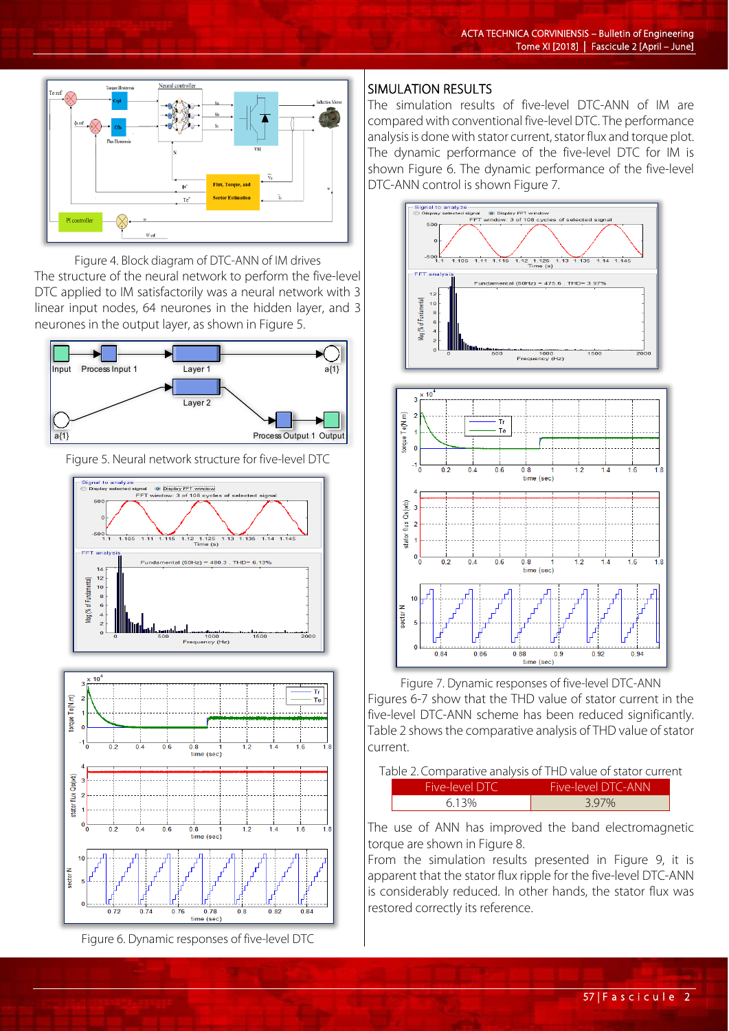

Figure 4. Block diagram of DTC-ANN of IM drives The structure of the neural network to perform the five-level DTC applied to IM satisfactorily was a neural network with 3 linear input nodes, 64 neurones in the hidden layer, and 3 neurones in the output layer, as shown in Figure 5.



Figure 5. Neural network structure for five-level DTC





Figure 6. Dynamic responses of five-level DTC

## SIMULATION RESULTS

The simulation results of five-level DTC-ANN of IM are compared with conventional five-level DTC. The performance analysis is done with stator current, stator flux and torque plot. The dynamic performance of the five-level DTC for IM is shown Figure 6. The dynamic performance of the five-level DTC-ANN control is shown Figure 7.



Figure 7. Dynamic responses of five-level DTC-ANN Figures 6-7 show that the THD value of stator current in the five-level DTC-ANN scheme has been reduced significantly. Table 2 shows the comparative analysis of THD value of stator current.

|                       | Table 2. Comparative analysis of THD value of stator current |  |
|-----------------------|--------------------------------------------------------------|--|
| <b>Five-level DTC</b> | Five-level DTC-ANN                                           |  |
| 6.13%                 | 3.97%                                                        |  |

The use of ANN has improved the band electromagnetic torque are shown in Figure 8.

From the simulation results presented in Figure 9, it is apparent that the stator flux ripple for the five-level DTC-ANN is considerably reduced. In other hands, the stator flux was restored correctly its reference.